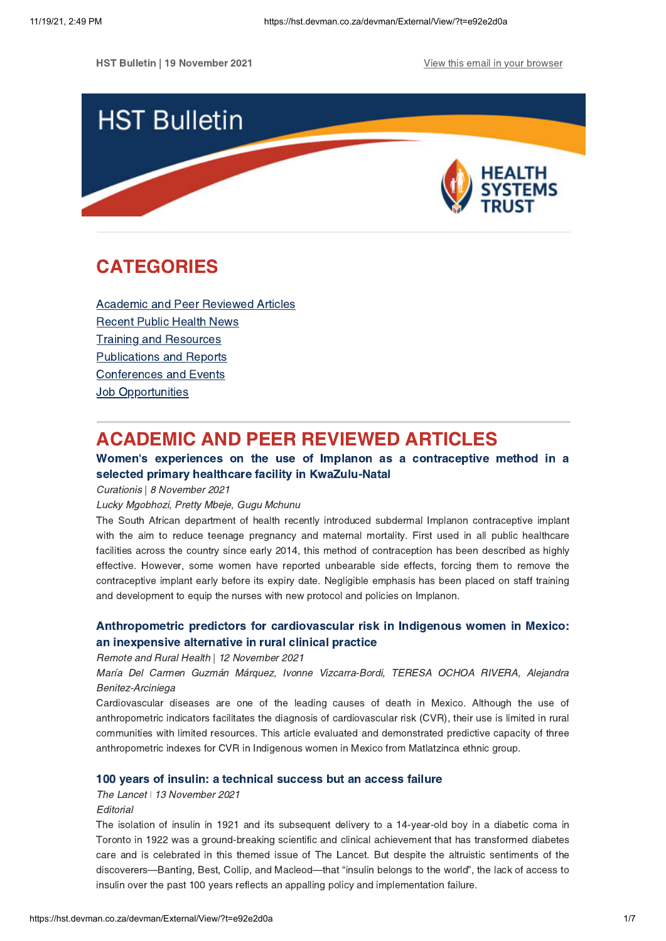HST Bulletin | 19 November 2021 View this email in your [browser](https://hst.devman.co.za/devman/external/?t=80f8423c&t1=e92e2d0a)



# <span id="page-0-1"></span>CATEGORIES

Academic and Peer [Reviewed](#page-0-0) Articles [Recent](#page-2-0) Public Health News Training and Resources [Publications](#page-4-0) and Reports [Conferences](#page-5-0) and Events **Job [Opportunities](#page-6-0)** 

# <span id="page-0-0"></span>ACADEMIC AND PEER REVIEWED ARTICLES

# Women's experiences on the use of Implanon as a contraceptive method in a selected primary healthcare facility in [KwaZulu-Natal](https://hst.devman.co.za/devman/external/?t=bdf977b)

Curationis | 8 November 2021

### Lucky Mgobhozi, Pretty Mbeje, Gugu Mchunu

The South African department of health recently introduced subdermal Implanon contraceptive implant with the aim to reduce teenage pregnancy and maternal mortality. First used in all public healthcare facilities across the country since early 2014, this method of contraception has been described as highly effective. However, some women have reported unbearable side effects, forcing them to remove the contraceptive implant early before its expiry date. Negligible emphasis has been placed on staff training and development to equip the nurses with new protocol and policies on Implanon.

# [Anthropometric](https://hst.devman.co.za/devman/external/?t=3ae829ba) predictors for cardiovascular risk in Indigenous women in Mexico: an inexpensive alternative in rural clinical practice

#### Remote and Rural Health | 12 November 2021

María Del Carmen Guzmán Márquez, Ivonne Vizcarra-Bordi, TERESA OCHOA RIVERA, Alejandra Benitez-Arciniega

Cardiovascular diseases are one of the leading causes of death in Mexico. Although the use of anthropometric indicators facilitates the diagnosis of cardiovascular risk (CVR), their use is limited in rural communities with limited resources. This article evaluated and demonstrated predictive capacity of three anthropometric indexes for CVR in Indigenous women in Mexico from Matlatzinca ethnic group.

## 100 years of insulin: a [technical](https://hst.devman.co.za/devman/external/?t=5ccd00f9) success but an access failure

The Lancet | 13 November 2021

#### **Editorial**

The isolation of insulin in 1921 and its subsequent delivery to a 14-year-old boy in a diabetic coma in Toronto in 1922 was a ground-breaking scientific and clinical achievement that has transformed diabetes care and is celebrated in this themed issue of The Lancet. But despite the altruistic sentiments of the discoverers—Banting, Best, Collip, and Macleod—that "insulin belongs to the world", the lack of access to insulin over the past 100 years reflects an appalling policy and implementation failure.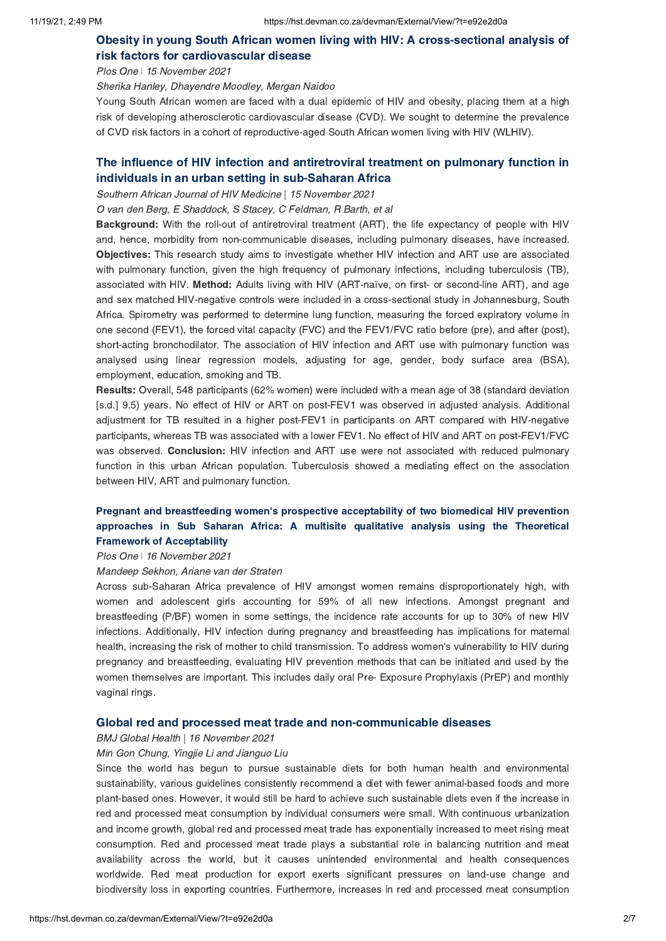# Obesity in young South African women living with HIV: A [cross-sectional](https://hst.devman.co.za/devman/external/?t=c0039338) analysis of risk factors for cardiovascular disease

Plos One | 15 November 2021

Sherika Hanley, Dhayendre Moodley, Mergan Naidoo

Young South African women are faced with a dual epidemic of HIV and obesity, placing them at a high risk of developing atherosclerotic cardiovascular disease (CVD). We sought to determine the prevalence of CVD risk factors in a cohort of reproductive-aged South African women living with HIV (WLHIV).

# The influence of HIV infection and [antiretroviral](https://hst.devman.co.za/devman/external/?t=4aeae877) treatment on pulmonary function in individuals in an urban setting in sub-Saharan Africa

Southern African Journal of HIV Medicine | 15 November 2021

O van den Berg, E Shaddock, S Stacey, C Feldman, R Barth, et al

Background: With the roll-out of antiretroviral treatment (ART), the life expectancy of people with HIV and, hence, morbidity from non-communicable diseases, including pulmonary diseases, have increased. Objectives: This research study aims to investigate whether HIV infection and ART use are associated with pulmonary function, given the high frequency of pulmonary infections, including tuberculosis (TB), associated with HIV. Method: Adults living with HIV (ART-naïve, on first- or second-line ART), and age and sex matched HIV-negative controls were included in a cross-sectional study in Johannesburg, South Africa. Spirometry was performed to determine lung function, measuring the forced expiratory volume in one second (FEV1), the forced vital capacity (FVC) and the FEV1/FVC ratio before (pre), and after (post), short-acting bronchodilator. The association of HIV infection and ART use with pulmonary function was analysed using linear regression models, adjusting for age, gender, body surface area (BSA), employment, education, smoking and TB.

Results: Overall, 548 participants (62% women) were included with a mean age of 38 (standard deviation [s.d.] 9.5) years. No effect of HIV or ART on post-FEV1 was observed in adjusted analysis. Additional adjustment for TB resulted in a higher post-FEV1 in participants on ART compared with HIV-negative participants, whereas TB was associated with a lower FEV1. No effect of HIV and ART on post-FEV1/FVC was observed. Conclusion: HIV infection and ART use were not associated with reduced pulmonary function in this urban African population. Tuberculosis showed a mediating effect on the association between HIV, ART and pulmonary function.

# Pregnant and [breastfeeding](https://hst.devman.co.za/devman/external/?t=79f37ab6) women's prospective acceptability of two biomedical HIV prevention approaches in Sub Saharan Africa: A multisite qualitative analysis using the Theoretical Framework of Acceptability

Plos One *ǀ* 16 November 2021

#### Mandeep Sekhon, Ariane van der Straten

Across sub-Saharan Africa prevalence of HIV amongst women remains disproportionately high, with women and adolescent girls accounting for 59% of all new infections. Amongst pregnant and breastfeeding (P/BF) women in some settings, the incidence rate accounts for up to 30% of new HIV infections. Additionally, HIV infection during pregnancy and breastfeeding has implications for maternal health, increasing the risk of mother to child transmission. To address women's vulnerability to HIV during pregnancy and breastfeeding, evaluating HIV prevention methods that can be initiated and used by the women themselves are important. This includes daily oral Pre- Exposure Prophylaxis (PrEP) and monthly vaginal rings.

#### Global red and processed meat trade and [non-communicable](https://hst.devman.co.za/devman/external/?t=9bd851f5) diseases

BMJ Global Health | 16 November 2021

#### Min Gon Chung, Yingjie Li and Jianguo Liu

Since the world has begun to pursue sustainable diets for both human health and environmental sustainability, various guidelines consistently recommend a diet with fewer animal-based foods and more plant-based ones. However, it would still be hard to achieve such sustainable diets even if the increase in red and processed meat consumption by individual consumers were small. With continuous urbanization and income growth, global red and processed meat trade has exponentially increased to meet rising meat consumption. Red and processed meat trade plays a substantial role in balancing nutrition and meat availability across the world, but it causes unintended environmental and health consequences worldwide. Red meat production for export exerts significant pressures on land-use change and biodiversity loss in exporting countries. Furthermore, increases in red and processed meat consumption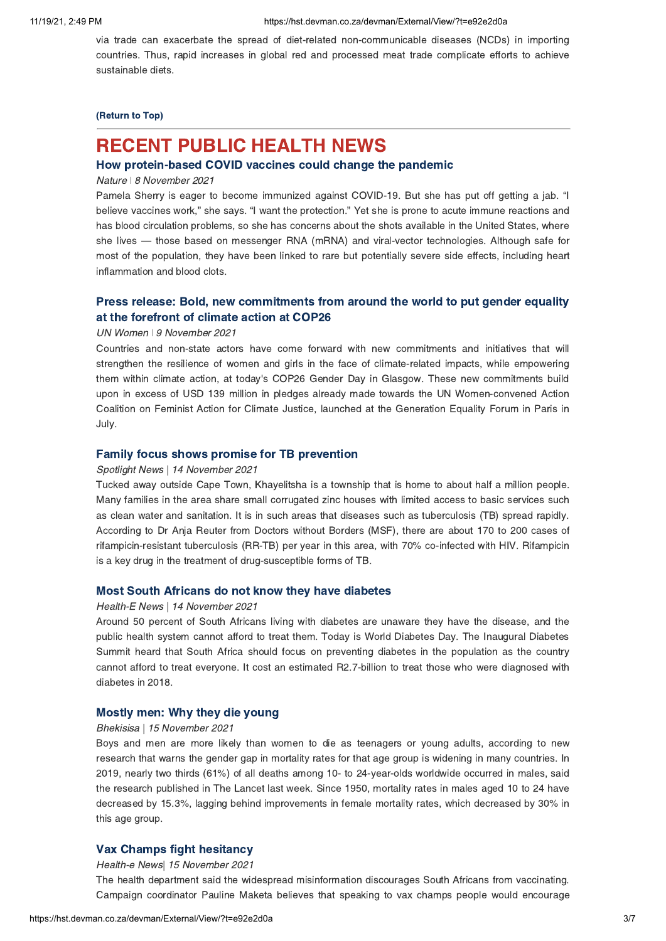via trade can exacerbate the spread of diet-related non-communicable diseases (NCDs) in importing countries. Thus, rapid increases in global red and processed meat trade complicate efforts to achieve sustainable diets.

### [\(Return](#page-0-1) to Top)

# <span id="page-2-0"></span>RECENT PUBLIC HEALTH NEWS

# How [protein-based](https://hst.devman.co.za/devman/external/?t=6ebd6044) COVID vaccines could change the pandemic

#### Nature *ǀ* 8 November 2021

Pamela Sherry is eager to become immunized against COVID-19. But she has put off getting a jab. "I believe vaccines work," she says. "I want the protection." Yet she is prone to acute immune reactions and has blood circulation problems, so she has concerns about the shots available in the United States, where she lives — those based on messenger RNA (mRNA) and viral-vector technologies. Although safe for most of the population, they have been linked to rare but potentially severe side effects, including heart inflammation and blood clots.

# Press release: Bold, new [commitments](https://hst.devman.co.za/devman/external/?t=f9a4b583) from around the world to put gender equality at the forefront of climate action at COP26

#### UN Women *ǀ* 9 November 2021

Countries and non-state actors have come forward with new commitments and initiatives that will strengthen the resilience of women and girls in the face of climate-related impacts, while empowering them within climate action, at today's COP26 Gender Day in Glasgow. These new commitments build upon in excess of USD 139 million in pledges already made towards the UN Women-convened Action Coalition on Feminist Action for Climate Justice, launched at the Generation Equality Forum in Paris in July.

#### Family focus shows promise for TB [prevention](https://hst.devman.co.za/devman/external/?t=23361a77)

#### Spotlight News | 14 November 2021

Tucked away outside Cape Town, Khayelitsha is a township that is home to about half a million people. Many families in the area share small corrugated zinc houses with limited access to basic services such as clean water and sanitation. It is in such areas that diseases such as tuberculosis (TB) spread rapidly. According to Dr Anja Reuter from Doctors without Borders (MSF), there are about 170 to 200 cases of rifampicin-resistant tuberculosis (RR-TB) per year in this area, with 70% co-infected with HIV. Rifampicin is a key drug in the treatment of drug-susceptible forms of TB.

#### Most South Africans do not know they have [diabetes](https://hst.devman.co.za/devman/external/?t=ae1d6fb6)

#### Health-E News | 14 November 2021

Around 50 percent of South Africans living with diabetes are unaware they have the disease, and the public health system cannot afford to treat them. Today is World Diabetes Day. The Inaugural Diabetes Summit heard that South Africa should focus on preventing diabetes in the population as the country cannot afford to treat everyone. It cost an estimated R2.7-billion to treat those who were diagnosed with diabetes in 2018.

### [Mostly](https://hst.devman.co.za/devman/external/?t=dd2601f5) men: Why they die young

#### Bhekisisa | 15 November 2021

Boys and men are more likely than women to die as teenagers or young adults, according to new research that warns the gender gap in mortality rates for that age group is widening in many countries. In 2019, nearly two thirds (61%) of all deaths among 10- to 24-year-olds worldwide occurred in males, said the research published in The Lancet last week. Since 1950, mortality rates in males aged 10 to 24 have decreased by 15.3%, lagging behind improvements in female mortality rates, which decreased by 30% in this age group.

## Vax Champs fight [hesitancy](https://hst.devman.co.za/devman/external/?t=ff0ad934)

#### Health-e News| 15 November 2021

The health department said the widespread misinformation discourages South Africans from vaccinating. Campaign coordinator Pauline Maketa believes that speaking to vax champs people would encourage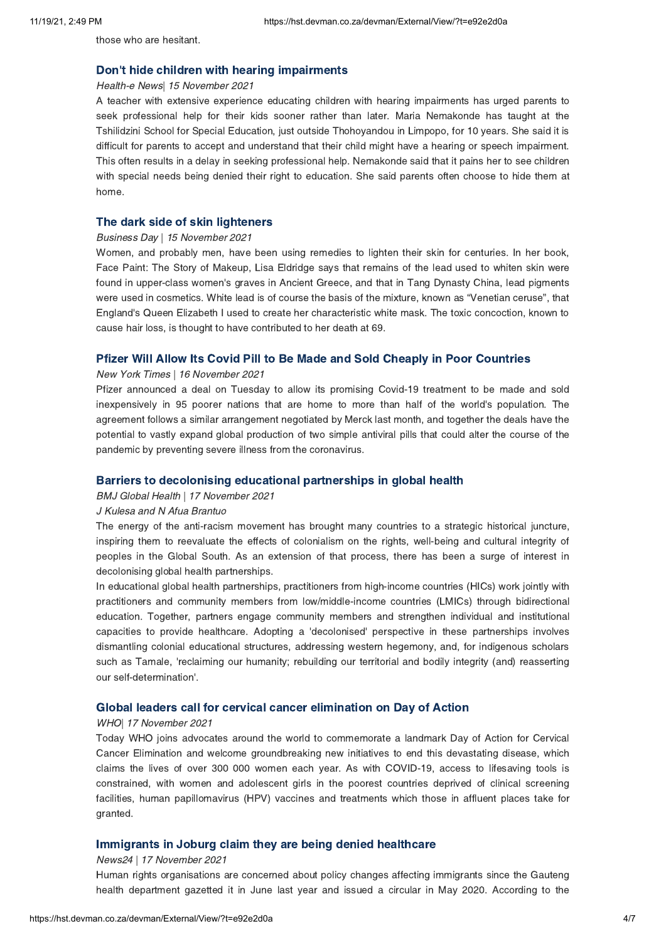those who are hesitant.

## Don't hide children with hearing [impairments](https://hst.devman.co.za/devman/external/?t=62416b73)

#### Health-e News| 15 November 2021

A teacher with extensive experience educating children with hearing impairments has urged parents to seek professional help for their kids sooner rather than later. Maria Nemakonde has taught at the Tshilidzini School for Special Education, just outside Thohoyandou in Limpopo, for 10 years. She said it is difficult for parents to accept and understand that their child might have a hearing or speech impairment. This often results in a delay in seeking professional help. Nemakonde said that it pains her to see children with special needs being denied their right to education. She said parents often choose to hide them at home.

## The dark side of skin [lighteners](https://hst.devman.co.za/devman/external/?t=ed28c0b2)

### Business Day | 15 November 2021

Women, and probably men, have been using remedies to lighten their skin for centuries. In her book, Face Paint: The Story of Makeup, Lisa Eldridge says that remains of the lead used to whiten skin were found in upper-class women's graves in Ancient Greece, and that in Tang Dynasty China, lead pigments were used in cosmetics. White lead is of course the basis of the mixture, known as "Venetian ceruse", that England's Queen Elizabeth I used to create her characteristic white mask. The toxic concoction, known to cause hair loss, is thought to have contributed to her death at 69.

### Pfizer Will Allow Its Covid Pill to Be Made and Sold Cheaply in Poor [Countries](https://hst.devman.co.za/devman/external/?t=1c3152f1)

### New York Times | 16 November 2021

Pfizer announced a deal on Tuesday to allow its promising Covid-19 treatment to be made and sold inexpensively in 95 poorer nations that are home to more than half of the world's population. The agreement follows a similar arrangement negotiated by Merck last month, and together the deals have the potential to vastly expand global production of two simple antiviral pills that could alter the course of the pandemic by preventing severe illness from the coronavirus.

## Barriers to [decolonising](https://hst.devman.co.za/devman/external/?t=3e162a30) educational partnerships in global health

BMJ Global Health | 17 November 2021

## J Kulesa and N Afua Brantuo

The energy of the anti-racism movement has brought many countries to a strategic historical juncture, inspiring them to reevaluate the effects of colonialism on the rights, well-being and cultural integrity of peoples in the Global South. As an extension of that process, there has been a surge of interest in decolonising global health partnerships.

In educational global health partnerships, practitioners from high-income countries (HICs) work jointly with practitioners and community members from low/middle-income countries (LMICs) through bidirectional education. Together, partners engage community members and strengthen individual and institutional capacities to provide healthcare. Adopting a 'decolonised' perspective in these partnerships involves dismantling colonial educational structures, addressing western hegemony, and, for indigenous scholars such as Tamale, 'reclaiming our humanity; rebuilding our territorial and bodily integrity (and) reasserting our self-determination'.

### Global leaders call for cervical cancer [elimination](https://hst.devman.co.za/devman/external/?t=10fb387f) on Day of Action

#### WHO| 17 November 2021

Today WHO joins advocates around the world to commemorate a landmark Day of Action for Cervical Cancer Elimination and welcome groundbreaking new initiatives to end this devastating disease, which claims the lives of over 300 000 women each year. As with COVID-19, access to lifesaving tools is constrained, with women and adolescent girls in the poorest countries deprived of clinical screening facilities, human papillomavirus (HPV) vaccines and treatments which those in affluent places take for granted.

## [Immigrants](https://hst.devman.co.za/devman/external/?t=9be28dbe) in Joburg claim they are being denied healthcare

### News24 | 17 November 2021

Human rights organisations are concerned about policy changes affecting immigrants since the Gauteng health department gazetted it in June last year and issued a circular in May 2020. According to the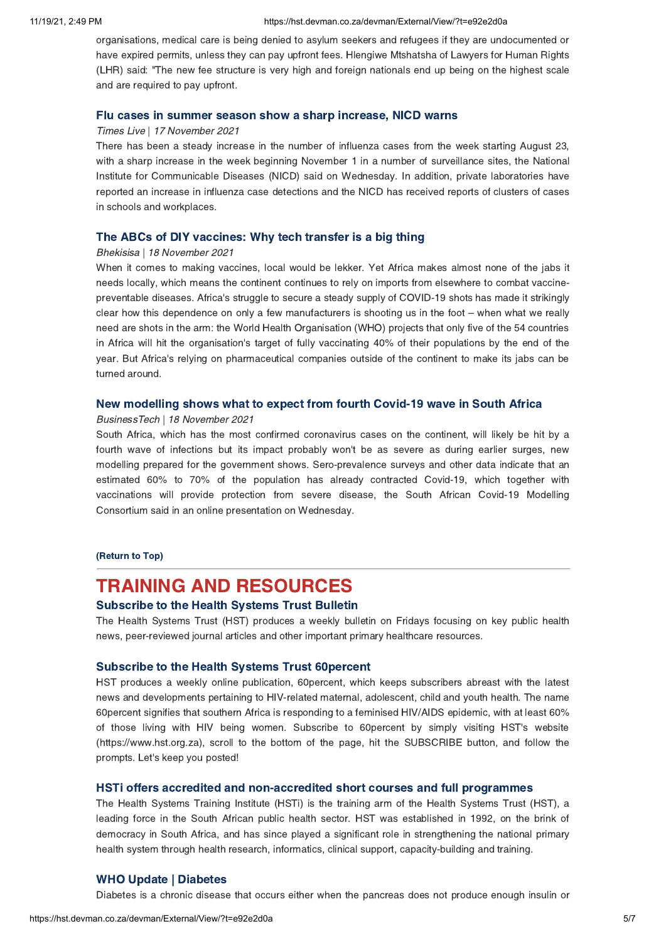organisations, medical care is being denied to asylum seekers and refugees if they are undocumented or have expired permits, unless they can pay upfront fees. Hlengiwe Mtshatsha of Lawyers for Human Rights (LHR) said: "The new fee structure is very high and foreign nationals end up being on the highest scale and are required to pay upfront.

#### Flu cases in summer season show a sharp [increase,](https://hst.devman.co.za/devman/external/?t=1c625402) NICD warns

#### Times Live | 17 November 2021

There has been a steady increase in the number of influenza cases from the week starting August 23, with a sharp increase in the week beginning November 1 in a number of surveillance sites, the National Institute for Communicable Diseases (NICD) said on Wednesday. In addition, private laboratories have reported an increase in influenza case detections and the NICD has received reports of clusters of cases in schools and workplaces.

### The ABCs of DIY [vaccines:](https://hst.devman.co.za/devman/external/?t=a749a941) Why tech transfer is a big thing

#### Bhekisisa | 18 November 2021

When it comes to making vaccines, local would be lekker. Yet Africa makes almost none of the jabs it needs locally, which means the continent continues to rely on imports from elsewhere to combat vaccinepreventable diseases. Africa's struggle to secure a steady supply of COVID-19 shots has made it strikingly clear how this dependence on only a few manufacturers is shooting us in the foot – when what we really need are shots in the arm: the World Health Organisation (WHO) projects that only five of the 54 countries in Africa will hit the organisation's target of fully vaccinating 40% of their populations by the end of the year. But Africa's relying on pharmaceutical companies outside of the continent to make its jabs can be turned around.

#### New [modelling](https://hst.devman.co.za/devman/external/?t=d6523b80) shows what to expect from fourth Covid-19 wave in South Africa

#### BusinessTech | 18 November 2021

South Africa, which has the most confirmed coronavirus cases on the continent, will likely be hit by a fourth wave of infections but its impact probably won't be as severe as during earlier surges, new modelling prepared for the government shows. Sero-prevalence surveys and other data indicate that an estimated 60% to 70% of the population has already contracted Covid-19, which together with vaccinations will provide protection from severe disease, the South African Covid-19 Modelling Consortium said in an online presentation on Wednesday.

## [\(Return](#page-0-1) to Top)

# <span id="page-4-0"></span>TRAINING AND RESOURCES

### [Subscribe](https://hst.devman.co.za/devman/external/?t=f83712bf) to the Health Systems Trust Bulletin

The Health Systems Trust (HST) produces a weekly bulletin on Fridays focusing on key public health news, peer-reviewed journal articles and other important primary healthcare resources.

### [Subscribe](https://hst.devman.co.za/devman/external/?t=f83712bf) to the Health Systems Trust 60percent

HST produces a weekly online publication, 60percent, which keeps subscribers abreast with the latest news and developments pertaining to HIV-related maternal, adolescent, child and youth health. The name 60percent signifies that southern Africa is responding to a feminised HIV/AIDS epidemic, with at least 60% of those living with HIV being women. Subscribe to 60percent by simply visiting HST's website (https://www.hst.org.za), scroll to the bottom of the page, hit the SUBSCRIBE button, and follow the prompts. Let's keep you posted!

## HSTi offers accredited and [non-accredited](https://hst.devman.co.za/devman/external/?t=5b6da4fe) short courses and full programmes

The Health Systems Training Institute (HSTi) is the training arm of the Health Systems Trust (HST), a leading force in the South African public health sector. HST was established in 1992, on the brink of democracy in South Africa, and has since played a significant role in strengthening the national primary health system through health research, informatics, clinical support, capacity-building and training.

# WHO Update | [Diabetes](https://hst.devman.co.za/devman/external/?t=e654fa3d)

Diabetes is a chronic disease that occurs either when the pancreas does not produce enough insulin or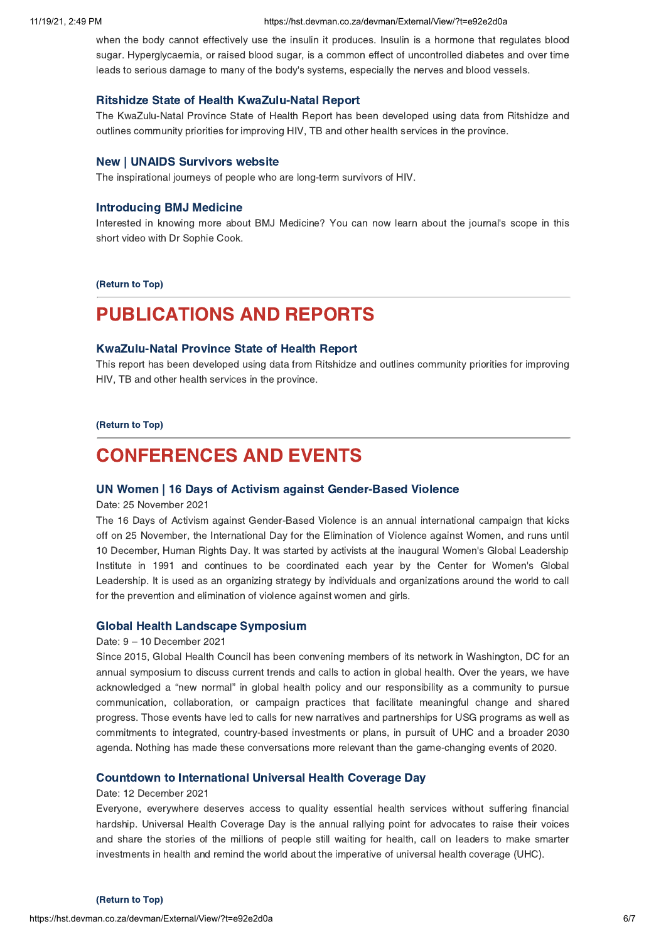#### 11/19/21, 2:49 PM https://hst.devman.co.za/devman/External/View/?t=e92e2d0a

when the body cannot effectively use the insulin it produces. Insulin is a hormone that regulates blood sugar. Hyperglycaemia, or raised blood sugar, is a common effect of uncontrolled diabetes and over time leads to serious damage to many of the body's systems, especially the nerves and blood vessels.

### Ritshidze State of Health [KwaZulu-Natal](https://hst.devman.co.za/devman/external/?t=155d8c7c) Report

The KwaZulu-Natal Province State of Health Report has been developed using data from Ritshidze and outlines community priorities for improving HIV, TB and other health services in the province.

#### New | UNAIDS [Survivors](https://hst.devman.co.za/devman/external/?t=374263bb) website

The inspirational journeys of people who are long-term survivors of HIV.

## [Introducing](https://hst.devman.co.za/devman/external/?t=a27720a) BMJ Medicine

Interested in knowing more about BMJ Medicine? You can now learn about the journal's scope in this short video with Dr Sophie Cook.

[\(Return](#page-0-1) to Top)

# PUBLICATIONS AND REPORTS

# [KwaZulu-Natal](https://hst.devman.co.za/devman/external/?t=155d8c7c) Province State of Health Report

This report has been developed using data from Ritshidze and outlines community priorities for improving HIV, TB and other health services in the province.

#### [\(Return](#page-0-1) to Top)

# <span id="page-5-0"></span>CONFERENCES AND EVENTS

## UN Women | 16 Days of Activism against [Gender-Based](https://hst.devman.co.za/devman/external/?t=950ec749) Violence

Date: 25 November 2021

The 16 Days of Activism against Gender-Based Violence is an annual international campaign that kicks off on 25 November, the International Day for the Elimination of Violence against Women, and runs until 10 December, Human Rights Day. It was started by activists at the inaugural Women's Global Leadership Institute in 1991 and continues to be coordinated each year by the Center for Women's Global Leadership. It is used as an organizing strategy by individuals and organizations around the world to call for the prevention and elimination of violence against women and girls.

#### Global Health Landscape [Symposium](https://hst.devman.co.za/devman/external/?t=efa49b3d)

#### Date: 9 – 10 December 2021

Since 2015, Global Health Council has been convening members of its network in Washington, DC for an annual symposium to discuss current trends and calls to action in global health. Over the years, we have acknowledged a "new normal" in global health policy and our responsibility as a community to pursue communication, collaboration, or campaign practices that facilitate meaningful change and shared progress. Those events have led to calls for new narratives and partnerships for USG programs as well as commitments to integrated, country-based investments or plans, in pursuit of UHC and a broader 2030 agenda. Nothing has made these conversations more relevant than the game-changing events of 2020.

#### Countdown to [International](https://hst.devman.co.za/devman/external/?t=7a8bf07c) Universal Health Coverage Day

#### Date: 12 December 2021

Everyone, everywhere deserves access to quality essential health services without suffering financial hardship. Universal Health Coverage Day is the annual rallying point for advocates to raise their voices and share the stories of the millions of people still waiting for health, call on leaders to make smarter investments in health and remind the world about the imperative of universal health coverage (UHC).